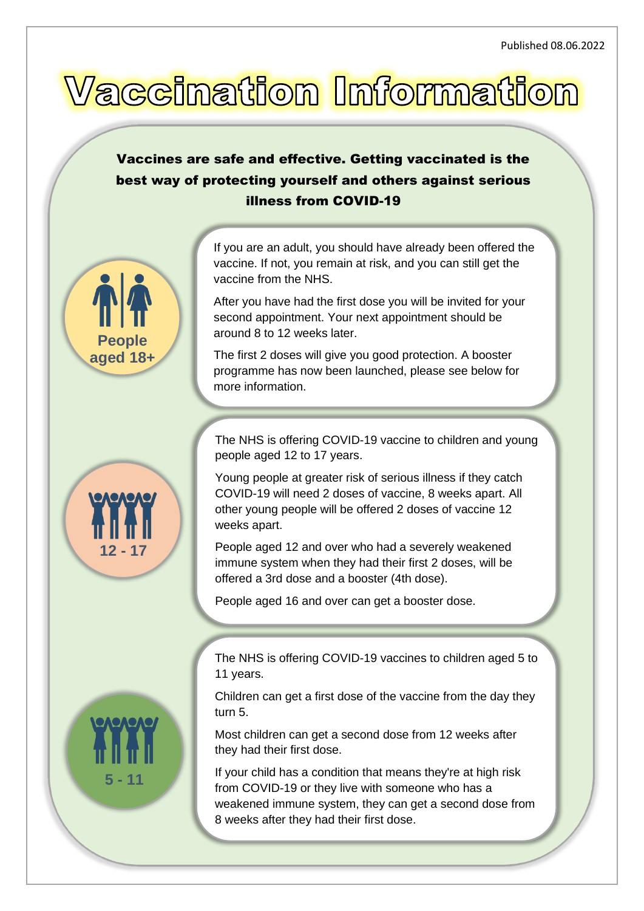## Vaccination Information

## Vaccines are safe and effective. Getting vaccinated is the best way of protecting yourself and others against serious illness from COVID-19

If you are an adult, you should have already been offered the vaccine. If not, you remain at risk, and you can still get the vaccine from the NHS.

After you have had the first dose you will be invited for your second appointment. Your next appointment should be around 8 to 12 weeks later.

The first 2 doses will give you good protection. A booster programme has now been launched, please see below for more information.

The NHS is offering COVID-19 vaccine to children and young people aged 12 to 17 years.

Young people at greater risk of serious illness if they catch COVID-19 will need 2 doses of vaccine, 8 weeks apart. All other young people will be offered 2 doses of vaccine 12 weeks apart.

People aged 12 and over who had a severely weakened immune system when they had their first 2 doses, will be offered a 3rd dose and a booster (4th dose).

People aged 16 and over can get a booster dose.

The NHS is offering COVID-19 vaccines to children aged 5 to 11 years.

Children can get a first dose of the vaccine from the day they turn 5.

Most children can get a second dose from 12 weeks after they had their first dose.

If your child has a condition that means they're at high risk from COVID-19 or they live with someone who has a weakened immune system, they can get a second dose from 8 weeks after they had their first dose.